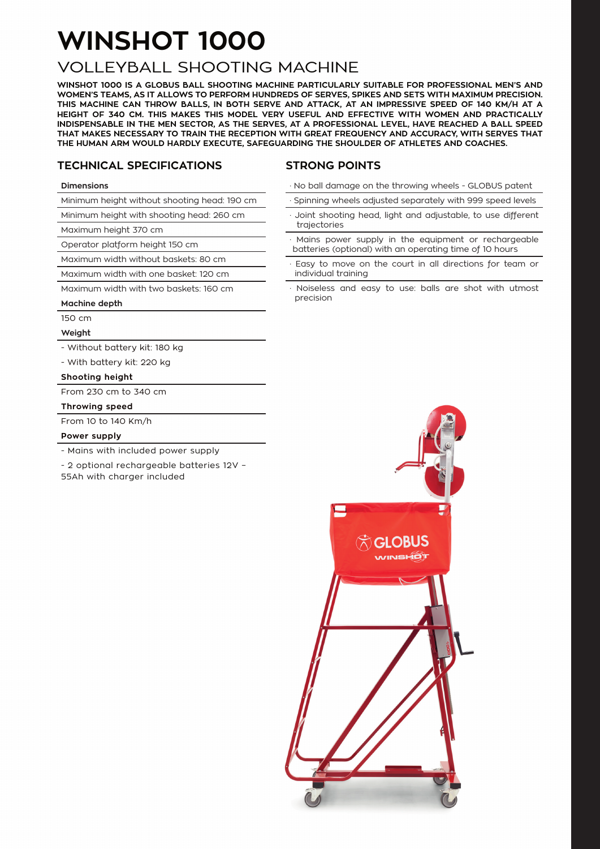# **WINSHOT 1000**

### VOLLEYBALL SHOOTING MACHINE

**WINSHOT 1000 IS A GLOBUS BALL SHOOTING MACHINE PARTICULARLY SUITABLE FOR PROFESSIONAL MEN'S AND WOMEN'S TEAMS, AS IT ALLOWS TO PERFORM HUNDREDS OF SERVES, SPIKES AND SETS WITH MAXIMUM PRECISION. THIS MACHINE CAN THROW BALLS, IN BOTH SERVE AND ATTACK, AT AN IMPRESSIVE SPEED OF 140 KM/H AT A HEIGHT OF 340 CM. THIS MAKES THIS MODEL VERY USEFUL AND EFFECTIVE WITH WOMEN AND PRACTICALLY INDISPENSABLE IN THE MEN SECTOR, AS THE SERVES, AT A PROFESSIONAL LEVEL, HAVE REACHED A BALL SPEED THAT MAKES NECESSARY TO TRAIN THE RECEPTION WITH GREAT FREQUENCY AND ACCURACY, WITH SERVES THAT THE HUMAN ARM WOULD HARDLY EXECUTE, SAFEGUARDING THE SHOULDER OF ATHLETES AND COACHES.**

#### **TECHNICAL SPECIFICATIONS**

#### **STRONG POINTS**

#### **Dimensions**

Minimum height without shooting head: 190 cm

Minimum height with shooting head: 260 cm

Maximum height 370 cm

Operator platform height 150 cm

Maximum width without baskets: 80 cm

Maximum width with one basket: 120 cm

Maximum width with two baskets: 160 cm

#### **Machine depth**

150 cm

**Weight**

- Without battery kit: 180 kg

- With battery kit: 220 kg

#### **Shooting height**

From 230 cm to 340 cm

#### **Throwing speed**

From 10 to 140 Km/h

#### **Power supply**

- Mains with included power supply

- 2 optional rechargeable batteries 12V –

55Ah with charger included

- · No ball damage on the throwing wheels GLOBUS patent
- Spinning wheels adjusted separately with 999 speed levels
- Joint shooting head, light and adjustable, to use different trajectories
- Mains power supply in the equipment or rechargeable batteries (optional) with an operating time of 10 hours
- Easy to move on the court in all directions for team or individual training
- Noiseless and easy to use: balls are shot with utmost precision